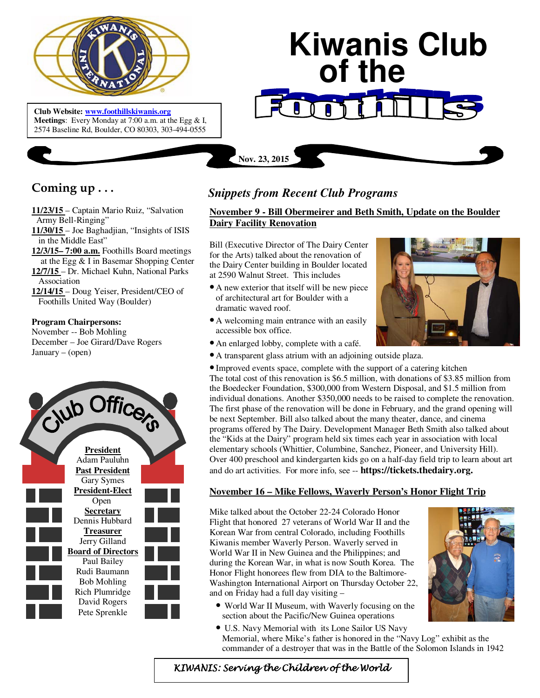

 **Meetings**: Every Monday at 7:00 a.m. at the Egg & I, **Club Website: www.foothillskiwanis.org** 2574 Baseline Rd, Boulder, CO 80303, 303-494-0555

# **Kiwanis Club of the**

# **Coming up . . .**

- **11/23/15**  Captain Mario Ruiz, "Salvation Army Bell-Ringing"
- **11/30/15**  Joe Baghadjian, "Insights of ISIS in the Middle East"
- **12/3/15– 7:00 a.m.** Foothills Board meetings at the Egg & I in Basemar Shopping Center
- **12/7/15**  Dr. Michael Kuhn, National Parks Association
- **12/14/15**  Doug Yeiser, President/CEO of Foothills United Way (Boulder)

## **Program Chairpersons:**

November -- Bob Mohling December – Joe Girard/Dave Rogers January – (open)



# *Snippets from Recent Club Programs*

**Nov. 23, 2015**

## **November 9 - Bill Obermeirer and Beth Smith, Update on the Boulder Dairy Facility Renovation**

Bill (Executive Director of The Dairy Center for the Arts) talked about the renovation of the Dairy Center building in Boulder located at 2590 Walnut Street. This includes

- A new exterior that itself will be new piece of architectural art for Boulder with a dramatic waved roof.
- A welcoming main entrance with an easily accessible box office.
- An enlarged lobby, complete with a café.
- A transparent glass atrium with an adjoining outside plaza.

• Improved events space, complete with the support of a catering kitchen The total cost of this renovation is \$6.5 million, with donations of \$3.85 million from the Boedecker Foundation, \$300,000 from Western Disposal, and \$1.5 million from individual donations. Another \$350,000 needs to be raised to complete the renovation. The first phase of the renovation will be done in February, and the grand opening will be next September. Bill also talked about the many theater, dance, and cinema programs offered by The Dairy. Development Manager Beth Smith also talked about the "Kids at the Dairy" program held six times each year in association with local elementary schools (Whittier, Columbine, Sanchez, Pioneer, and University Hill). Over 400 preschool and kindergarten kids go on a half-day field trip to learn about art and do art activities. For more info, see -- **https://tickets.thedairy.org.**

## **November 16 – Mike Fellows, Waverly Person's Honor Flight Trip**

Mike talked about the October 22-24 Colorado Honor Flight that honored 27 veterans of World War II and the Korean War from central Colorado, including Foothills Kiwanis member Waverly Person. Waverly served in World War II in New Guinea and the Philippines; and during the Korean War, in what is now South Korea. The Honor Flight honorees flew from DIA to the Baltimore-Washington International Airport on Thursday October 22, and on Friday had a full day visiting –

- World War II Museum, with Waverly focusing on the section about the Pacific/New Guinea operations
- U.S. Navy Memorial with its Lone Sailor US Navy Memorial, where Mike's father is honored in the "Navy Log" exhibit as the commander of a destroyer that was in the Battle of the Solomon Islands in 1942



KIWANIS: Serving the Children of the World